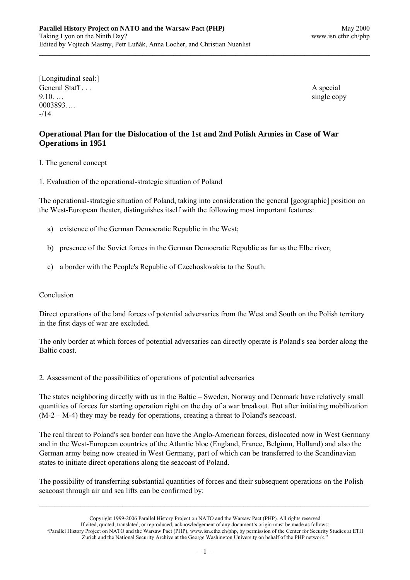[Longitudinal seal:] General Staff . . . A special 9.10. … 0003893….  $-14$ 

# **Operational Plan for the Dislocation of the 1st and 2nd Polish Armies in Case of War Operations in 1951**

## I. The general concept

1. Evaluation of the operational-strategic situation of Poland

The operational-strategic situation of Poland, taking into consideration the general [geographic] position on the West-European theater, distinguishes itself with the following most important features:

- a) existence of the German Democratic Republic in the West;
- b) presence of the Soviet forces in the German Democratic Republic as far as the Elbe river;
- c) a border with the People's Republic of Czechoslovakia to the South.

## Conclusion

Direct operations of the land forces of potential adversaries from the West and South on the Polish territory in the first days of war are excluded.

The only border at which forces of potential adversaries can directly operate is Poland's sea border along the Baltic coast.

2. Assessment of the possibilities of operations of potential adversaries

The states neighboring directly with us in the Baltic – Sweden, Norway and Denmark have relatively small quantities of forces for starting operation right on the day of a war breakout. But after initiating mobilization (M-2 – M-4) they may be ready for operations, creating a threat to Poland's seacoast.

The real threat to Poland's sea border can have the Anglo-American forces, dislocated now in West Germany and in the West-European countries of the Atlantic bloc (England, France, Belgium, Holland) and also the German army being now created in West Germany, part of which can be transferred to the Scandinavian states to initiate direct operations along the seacoast of Poland.

The possibility of transferring substantial quantities of forces and their subsequent operations on the Polish seacoast through air and sea lifts can be confirmed by:

Copyright 1999-2006 Parallel History Project on NATO and the Warsaw Pact (PHP). All rights reserved If cited, quoted, translated, or reproduced, acknowledgement of any document's origin must be made as follows: "Parallel History Project on NATO and the Warsaw Pact (PHP), www.isn.ethz.ch/php, by permission of the Center for Security Studies at ETH Zurich and the National Security Archive at the George Washington University on behalf of the PHP network."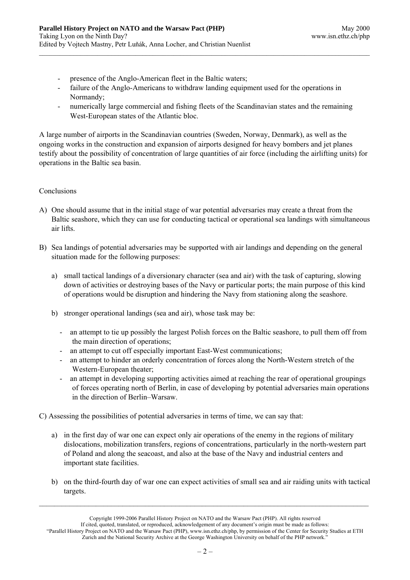- presence of the Anglo-American fleet in the Baltic waters;
- failure of the Anglo-Americans to withdraw landing equipment used for the operations in Normandy;
- numerically large commercial and fishing fleets of the Scandinavian states and the remaining West-European states of the Atlantic bloc.

A large number of airports in the Scandinavian countries (Sweden, Norway, Denmark), as well as the ongoing works in the construction and expansion of airports designed for heavy bombers and jet planes testify about the possibility of concentration of large quantities of air force (including the airlifting units) for operations in the Baltic sea basin.

## Conclusions

- A) One should assume that in the initial stage of war potential adversaries may create a threat from the Baltic seashore, which they can use for conducting tactical or operational sea landings with simultaneous air lifts.
- B) Sea landings of potential adversaries may be supported with air landings and depending on the general situation made for the following purposes:
	- a) small tactical landings of a diversionary character (sea and air) with the task of capturing, slowing down of activities or destroying bases of the Navy or particular ports; the main purpose of this kind of operations would be disruption and hindering the Navy from stationing along the seashore.
	- b) stronger operational landings (sea and air), whose task may be:
		- an attempt to tie up possibly the largest Polish forces on the Baltic seashore, to pull them off from the main direction of operations;
		- an attempt to cut off especially important East-West communications;
		- an attempt to hinder an orderly concentration of forces along the North-Western stretch of the Western-European theater;
		- an attempt in developing supporting activities aimed at reaching the rear of operational groupings of forces operating north of Berlin, in case of developing by potential adversaries main operations in the direction of Berlin–Warsaw.

C) Assessing the possibilities of potential adversaries in terms of time, we can say that:

- a) in the first day of war one can expect only air operations of the enemy in the regions of military dislocations, mobilization transfers, regions of concentrations, particularly in the north-western part of Poland and along the seacoast, and also at the base of the Navy and industrial centers and important state facilities.
- b) on the third-fourth day of war one can expect activities of small sea and air raiding units with tactical targets.

Copyright 1999-2006 Parallel History Project on NATO and the Warsaw Pact (PHP). All rights reserved

If cited, quoted, translated, or reproduced, acknowledgement of any document's origin must be made as follows:

<sup>&</sup>quot;Parallel History Project on NATO and the Warsaw Pact (PHP), www.isn.ethz.ch/php, by permission of the Center for Security Studies at ETH Zurich and the National Security Archive at the George Washington University on behalf of the PHP network."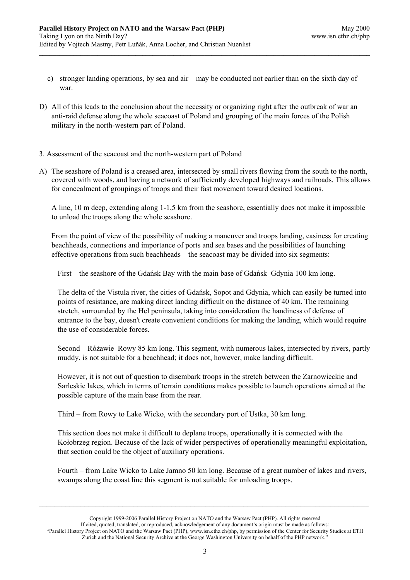- c) stronger landing operations, by sea and air may be conducted not earlier than on the sixth day of war.
- D) All of this leads to the conclusion about the necessity or organizing right after the outbreak of war an anti-raid defense along the whole seacoast of Poland and grouping of the main forces of the Polish military in the north-western part of Poland.
- 3. Assessment of the seacoast and the north-western part of Poland
- A) The seashore of Poland is a creased area, intersected by small rivers flowing from the south to the north, covered with woods, and having a network of sufficiently developed highways and railroads. This allows for concealment of groupings of troops and their fast movement toward desired locations.

A line, 10 m deep, extending along 1-1,5 km from the seashore, essentially does not make it impossible to unload the troops along the whole seashore.

From the point of view of the possibility of making a maneuver and troops landing, easiness for creating beachheads, connections and importance of ports and sea bases and the possibilities of launching effective operations from such beachheads – the seacoast may be divided into six segments:

First – the seashore of the Gdańsk Bay with the main base of Gdańsk–Gdynia 100 km long.

The delta of the Vistula river, the cities of Gdańsk, Sopot and Gdynia, which can easily be turned into points of resistance, are making direct landing difficult on the distance of 40 km. The remaining stretch, surrounded by the Hel peninsula, taking into consideration the handiness of defense of entrance to the bay, doesn't create convenient conditions for making the landing, which would require the use of considerable forces.

Second – Różawie–Rowy 85 km long. This segment, with numerous lakes, intersected by rivers, partly muddy, is not suitable for a beachhead; it does not, however, make landing difficult.

However, it is not out of question to disembark troops in the stretch between the Żarnowieckie and Sarleskie lakes, which in terms of terrain conditions makes possible to launch operations aimed at the possible capture of the main base from the rear.

Third – from Rowy to Lake Wicko, with the secondary port of Ustka, 30 km long.

This section does not make it difficult to deplane troops, operationally it is connected with the Kołobrzeg region. Because of the lack of wider perspectives of operationally meaningful exploitation, that section could be the object of auxiliary operations.

Fourth – from Lake Wicko to Lake Jamno 50 km long. Because of a great number of lakes and rivers, swamps along the coast line this segment is not suitable for unloading troops.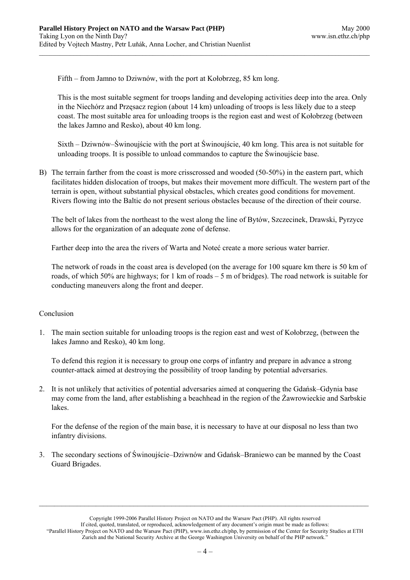Fifth – from Jamno to Dziwnów, with the port at Kołobrzeg, 85 km long.

This is the most suitable segment for troops landing and developing activities deep into the area. Only in the Niechórz and Przęsacz region (about 14 km) unloading of troops is less likely due to a steep coast. The most suitable area for unloading troops is the region east and west of Kołobrzeg (between the lakes Jamno and Resko), about 40 km long.

Sixth – Dziwnów–Świnoujście with the port at Świnoujście, 40 km long. This area is not suitable for unloading troops. It is possible to unload commandos to capture the Świnoujście base.

B) The terrain farther from the coast is more crisscrossed and wooded (50-50%) in the eastern part, which facilitates hidden dislocation of troops, but makes their movement more difficult. The western part of the terrain is open, without substantial physical obstacles, which creates good conditions for movement. Rivers flowing into the Baltic do not present serious obstacles because of the direction of their course.

The belt of lakes from the northeast to the west along the line of Bytów, Szczecinek, Drawski, Pyrzyce allows for the organization of an adequate zone of defense.

Farther deep into the area the rivers of Warta and Noteć create a more serious water barrier.

The network of roads in the coast area is developed (on the average for 100 square km there is 50 km of roads, of which 50% are highways; for 1 km of roads – 5 m of bridges). The road network is suitable for conducting maneuvers along the front and deeper.

## Conclusion

1. The main section suitable for unloading troops is the region east and west of Kołobrzeg, (between the lakes Jamno and Resko), 40 km long.

To defend this region it is necessary to group one corps of infantry and prepare in advance a strong counter-attack aimed at destroying the possibility of troop landing by potential adversaries.

2. It is not unlikely that activities of potential adversaries aimed at conquering the Gdańsk–Gdynia base may come from the land, after establishing a beachhead in the region of the Żawrowieckie and Sarbskie lakes.

For the defense of the region of the main base, it is necessary to have at our disposal no less than two infantry divisions.

3. The secondary sections of Świnoujście–Dziwnów and Gdańsk–Braniewo can be manned by the Coast Guard Brigades.

Copyright 1999-2006 Parallel History Project on NATO and the Warsaw Pact (PHP). All rights reserved If cited, quoted, translated, or reproduced, acknowledgement of any document's origin must be made as follows: "Parallel History Project on NATO and the Warsaw Pact (PHP), www.isn.ethz.ch/php, by permission of the Center for Security Studies at ETH Zurich and the National Security Archive at the George Washington University on behalf of the PHP network."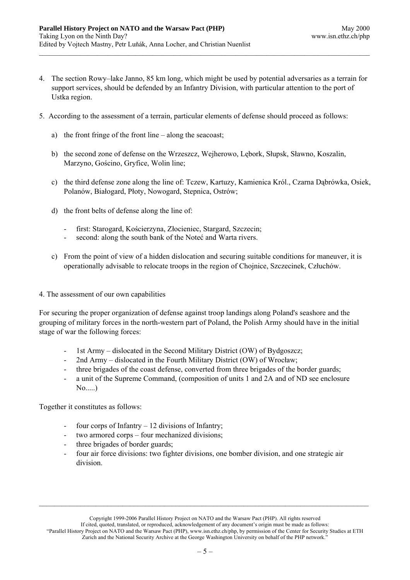- 4. The section Rowy–lake Janno, 85 km long, which might be used by potential adversaries as a terrain for support services, should be defended by an Infantry Division, with particular attention to the port of Ustka region.
- 5. According to the assessment of a terrain, particular elements of defense should proceed as follows:
	- a) the front fringe of the front line along the seacoast;
	- b) the second zone of defense on the Wrzeszcz, Wejherowo, Lębork, Słupsk, Sławno, Koszalin, Marzyno, Gościno, Gryfice, Wolin line;
	- c) the third defense zone along the line of: Tczew, Kartuzy, Kamienica Król., Czarna Dąbrówka, Osiek, Polanów, Białogard, Płoty, Nowogard, Stepnica, Ostrów;
	- d) the front belts of defense along the line of:
		- first: Starogard, Kościerzyna, Złocieniec, Stargard, Szczecin;
		- second: along the south bank of the Noteć and Warta rivers.
	- c) From the point of view of a hidden dislocation and securing suitable conditions for maneuver, it is operationally advisable to relocate troops in the region of Chojnice, Szczecinek, Człuchów.
- 4. The assessment of our own capabilities

For securing the proper organization of defense against troop landings along Poland's seashore and the grouping of military forces in the north-western part of Poland, the Polish Army should have in the initial stage of war the following forces:

- 1st Army dislocated in the Second Military District (OW) of Bydgoszcz;
- 2nd Army dislocated in the Fourth Military District (OW) of Wrocław;
- three brigades of the coast defense, converted from three brigades of the border guards;
- a unit of the Supreme Command, (composition of units 1 and 2A and of ND see enclosure No.....)

Together it constitutes as follows:

- four corps of Infantry 12 divisions of Infantry;
- two armored corps four mechanized divisions;
- three brigades of border guards;
- four air force divisions: two fighter divisions, one bomber division, and one strategic air division.

If cited, quoted, translated, or reproduced, acknowledgement of any document's origin must be made as follows: "Parallel History Project on NATO and the Warsaw Pact (PHP), www.isn.ethz.ch/php, by permission of the Center for Security Studies at ETH Zurich and the National Security Archive at the George Washington University on behalf of the PHP network."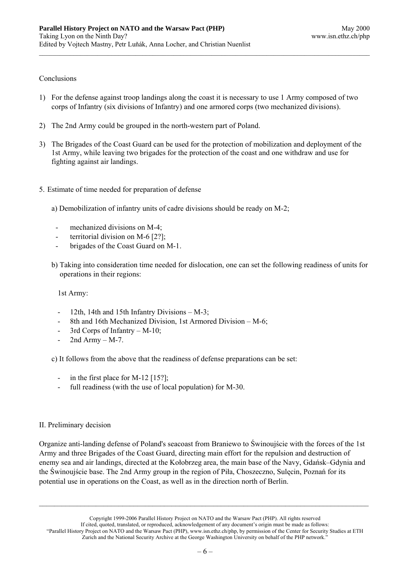## Conclusions

- 1) For the defense against troop landings along the coast it is necessary to use 1 Army composed of two corps of Infantry (six divisions of Infantry) and one armored corps (two mechanized divisions).
- 2) The 2nd Army could be grouped in the north-western part of Poland.
- 3) The Brigades of the Coast Guard can be used for the protection of mobilization and deployment of the 1st Army, while leaving two brigades for the protection of the coast and one withdraw and use for fighting against air landings.
- 5. Estimate of time needed for preparation of defense
	- a) Demobilization of infantry units of cadre divisions should be ready on M-2;
		- mechanized divisions on M-4;
		- territorial division on M-6 [2?];
		- brigades of the Coast Guard on M-1.
	- b) Taking into consideration time needed for dislocation, one can set the following readiness of units for operations in their regions:

1st Army:

- 12th, 14th and 15th Infantry Divisions  $M-3$ ;
- 8th and 16th Mechanized Division, 1st Armored Division M-6;
- 3rd Corps of Infantry  $M-10$ ;
- 2nd Army  $M-7$ .

c) It follows from the above that the readiness of defense preparations can be set:

- in the first place for M-12  $[15?]$ ;
- full readiness (with the use of local population) for M-30.

## II. Preliminary decision

Organize anti-landing defense of Poland's seacoast from Braniewo to Świnoujście with the forces of the 1st Army and three Brigades of the Coast Guard, directing main effort for the repulsion and destruction of enemy sea and air landings, directed at the Kołobrzeg area, the main base of the Navy, Gdańsk–Gdynia and the Świnoujście base. The 2nd Army group in the region of Piła, Choszeczno, Sulęcin, Poznań for its potential use in operations on the Coast, as well as in the direction north of Berlin.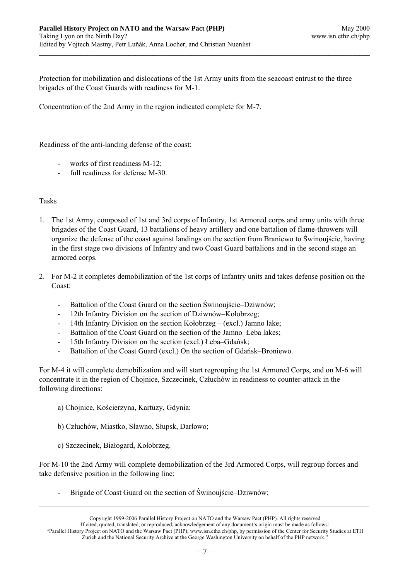Protection for mobilization and dislocations of the 1st Army units from the seacoast entrust to the three brigades of the Coast Guards with readiness for M-1.

Concentration of the 2nd Army in the region indicated complete for M-7.

Readiness of the anti-landing defense of the coast:

- works of first readiness M-12;
- full readiness for defense M-30.

## Tasks

- 1. The 1st Army, composed of 1st and 3rd corps of Infantry, 1st Armored corps and army units with three brigades of the Coast Guard, 13 battalions of heavy artillery and one battalion of flame-throwers will organize the defense of the coast against landings on the section from Braniewo to Świnoujście, having in the first stage two divisions of Infantry and two Coast Guard battalions and in the second stage an armored corps.
- 2. For M-2 it completes demobilization of the 1st corps of Infantry units and takes defense position on the Coast:
	- Battalion of the Coast Guard on the section Świnoujście–Dziwnów;
	- 12th Infantry Division on the section of Dziwnów–Kołobrzeg;
	- 14th Infantry Division on the section Kołobrzeg (excl.) Jamno lake;
	- Battalion of the Coast Guard on the section of the Jamno–Leba lakes;
	- 15th Infantry Division on the section (excl.) Łeba–Gdańsk;
	- Battalion of the Coast Guard (excl.) On the section of Gdańsk–Broniewo.

For M-4 it will complete demobilization and will start regrouping the 1st Armored Corps, and on M-6 will concentrate it in the region of Chojnice, Szczecinek, Człuchów in readiness to counter-attack in the following directions:

- a) Chojnice, Kościerzyna, Kartuzy, Gdynia;
- b) Człuchów, Miastko, Sławno, Słupsk, Darłowo;
- c) Szczecinek, Białogard, Kołobrzeg.

For M-10 the 2nd Army will complete demobilization of the 3rd Armored Corps, will regroup forces and take defensive position in the following line:

Brigade of Coast Guard on the section of Świnoujście–Dziwnów;

Copyright 1999-2006 Parallel History Project on NATO and the Warsaw Pact (PHP). All rights reserved

If cited, quoted, translated, or reproduced, acknowledgement of any document's origin must be made as follows:

<sup>&</sup>quot;Parallel History Project on NATO and the Warsaw Pact (PHP), www.isn.ethz.ch/php, by permission of the Center for Security Studies at ETH Zurich and the National Security Archive at the George Washington University on behalf of the PHP network."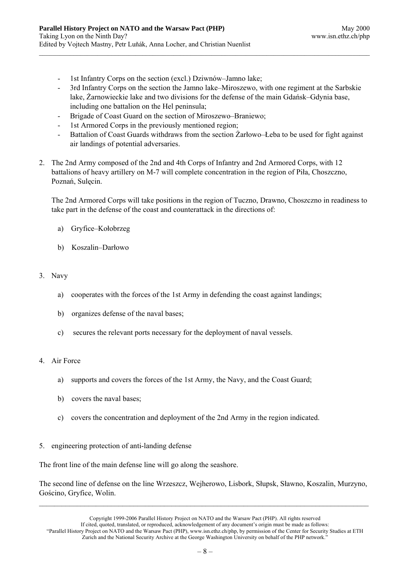- 1st Infantry Corps on the section (excl.) Dziwnów–Jamno lake;
- 3rd Infantry Corps on the section the Jamno lake–Miroszewo, with one regiment at the Sarbskie lake, Żarnowieckie lake and two divisions for the defense of the main Gdańsk–Gdynia base, including one battalion on the Hel peninsula;
- Brigade of Coast Guard on the section of Miroszewo–Braniewo;
- 1st Armored Corps in the previously mentioned region;
- Battalion of Coast Guards withdraws from the section Żarłowo–Łeba to be used for fight against air landings of potential adversaries.
- 2. The 2nd Army composed of the 2nd and 4th Corps of Infantry and 2nd Armored Corps, with 12 battalions of heavy artillery on M-7 will complete concentration in the region of Piła, Choszczno, Poznań, Sulęcin.

The 2nd Armored Corps will take positions in the region of Tuczno, Drawno, Choszczno in readiness to take part in the defense of the coast and counterattack in the directions of:

- a) Gryfice–Kołobrzeg
- b) Koszalin–Darłowo

## 3. Navy

- a) cooperates with the forces of the 1st Army in defending the coast against landings;
- b) organizes defense of the naval bases;
- c) secures the relevant ports necessary for the deployment of naval vessels.

## 4. Air Force

- a) supports and covers the forces of the 1st Army, the Navy, and the Coast Guard;
- b) covers the naval bases;
- c) covers the concentration and deployment of the 2nd Army in the region indicated.
- 5. engineering protection of anti-landing defense

The front line of the main defense line will go along the seashore.

The second line of defense on the line Wrzeszcz, Wejherowo, Lisbork, Słupsk, Sławno, Koszalin, Murzyno, Gościno, Gryfice, Wolin.